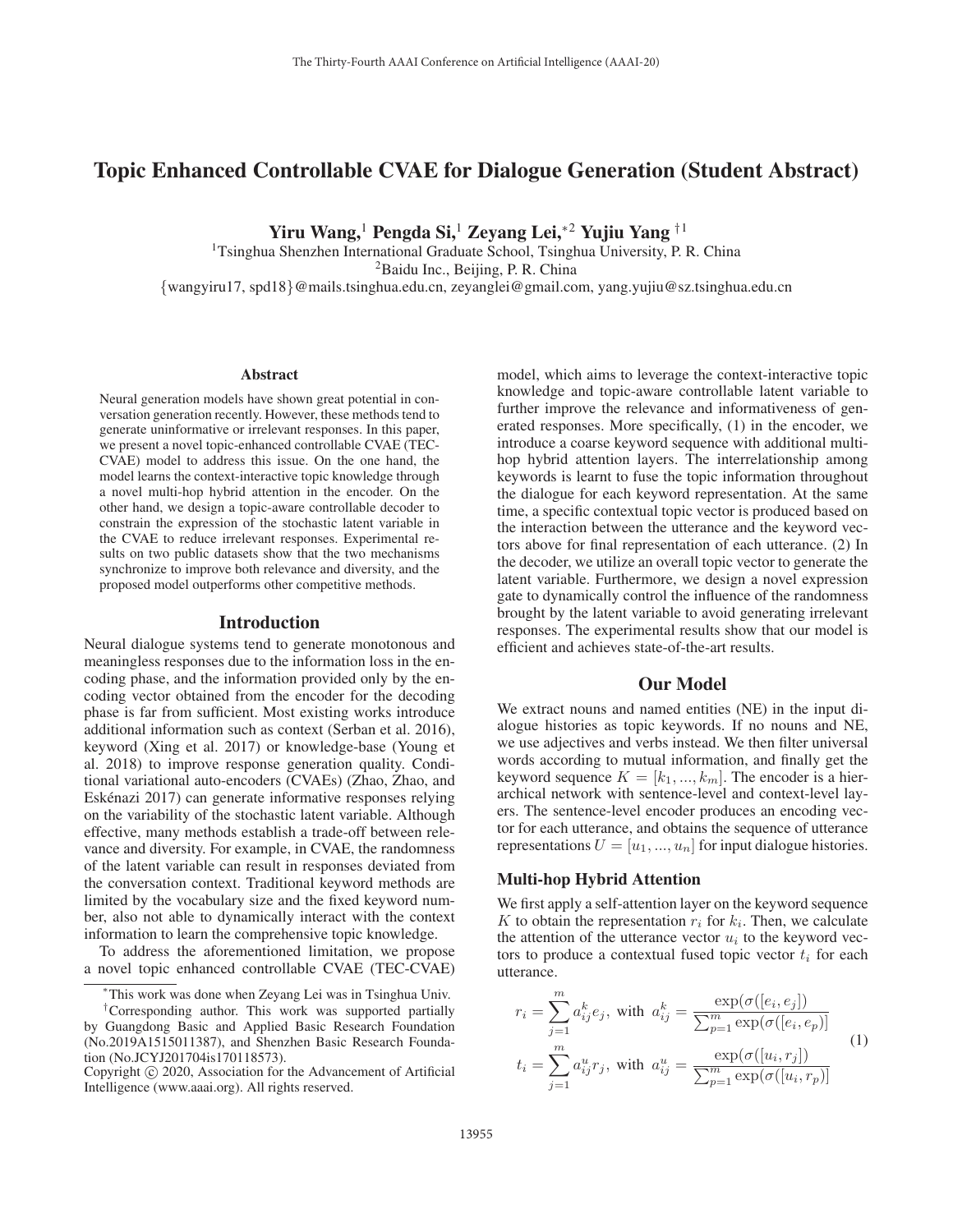# Topic Enhanced Controllable CVAE for Dialogue Generation (Student Abstract)

Yiru Wang,<sup>1</sup> Pengda Si,<sup>1</sup> Zeyang Lei,<sup>∗2</sup> Yujiu Yang <sup>†1</sup>

<sup>1</sup>Tsinghua Shenzhen International Graduate School, Tsinghua University, P. R. China 2Baidu Inc., Beijing, P. R. China {wangyiru17, spd18}@mails.tsinghua.edu.cn, zeyanglei@gmail.com, yang.yujiu@sz.tsinghua.edu.cn

#### Abstract

Neural generation models have shown great potential in conversation generation recently. However, these methods tend to generate uninformative or irrelevant responses. In this paper, we present a novel topic-enhanced controllable CVAE (TEC-CVAE) model to address this issue. On the one hand, the model learns the context-interactive topic knowledge through a novel multi-hop hybrid attention in the encoder. On the other hand, we design a topic-aware controllable decoder to constrain the expression of the stochastic latent variable in the CVAE to reduce irrelevant responses. Experimental results on two public datasets show that the two mechanisms synchronize to improve both relevance and diversity, and the proposed model outperforms other competitive methods.

#### Introduction

Neural dialogue systems tend to generate monotonous and meaningless responses due to the information loss in the encoding phase, and the information provided only by the encoding vector obtained from the encoder for the decoding phase is far from sufficient. Most existing works introduce additional information such as context (Serban et al. 2016), keyword (Xing et al. 2017) or knowledge-base (Young et al. 2018) to improve response generation quality. Conditional variational auto-encoders (CVAEs) (Zhao, Zhao, and Eskenazi 2017) can generate informative responses relying ´ on the variability of the stochastic latent variable. Although effective, many methods establish a trade-off between relevance and diversity. For example, in CVAE, the randomness of the latent variable can result in responses deviated from the conversation context. Traditional keyword methods are limited by the vocabulary size and the fixed keyword number, also not able to dynamically interact with the context information to learn the comprehensive topic knowledge.

To address the aforementioned limitation, we propose a novel topic enhanced controllable CVAE (TEC-CVAE)

model, which aims to leverage the context-interactive topic knowledge and topic-aware controllable latent variable to further improve the relevance and informativeness of generated responses. More specifically, (1) in the encoder, we introduce a coarse keyword sequence with additional multihop hybrid attention layers. The interrelationship among keywords is learnt to fuse the topic information throughout the dialogue for each keyword representation. At the same time, a specific contextual topic vector is produced based on the interaction between the utterance and the keyword vectors above for final representation of each utterance. (2) In the decoder, we utilize an overall topic vector to generate the latent variable. Furthermore, we design a novel expression gate to dynamically control the influence of the randomness brought by the latent variable to avoid generating irrelevant responses. The experimental results show that our model is efficient and achieves state-of-the-art results.

# Our Model

We extract nouns and named entities (NE) in the input dialogue histories as topic keywords. If no nouns and NE, we use adjectives and verbs instead. We then filter universal words according to mutual information, and finally get the keyword sequence  $K = [k_1, ..., k_m]$ . The encoder is a hierarchical network with sentence-level and context-level layers. The sentence-level encoder produces an encoding vector for each utterance, and obtains the sequence of utterance representations  $U = [u_1, ..., u_n]$  for input dialogue histories.

# Multi-hop Hybrid Attention

We first apply a self-attention layer on the keyword sequence K to obtain the representation  $r_i$  for  $k_i$ . Then, we calculate the attention of the utterance vector  $u_i$  to the keyword vectors to produce a contextual fused topic vector  $t_i$  for each utterance.

$$
r_i = \sum_{j=1}^{m} a_{ij}^k e_j, \text{ with } a_{ij}^k = \frac{\exp(\sigma([e_i, e_j])}{\sum_{p=1}^{m} \exp(\sigma([e_i, e_p])} \n t_i = \sum_{j=1}^{m} a_{ij}^u r_j, \text{ with } a_{ij}^u = \frac{\exp(\sigma([u_i, r_j])}{\sum_{p=1}^{m} \exp(\sigma([u_i, r_p])}
$$
\n(1)

<sup>∗</sup>This work was done when Zeyang Lei was in Tsinghua Univ.

<sup>†</sup>Corresponding author. This work was supported partially by Guangdong Basic and Applied Basic Research Foundation (No.2019A1515011387), and Shenzhen Basic Research Foundation (No.JCYJ201704is170118573).

Copyright  $\odot$  2020, Association for the Advancement of Artificial Intelligence (www.aaai.org). All rights reserved.